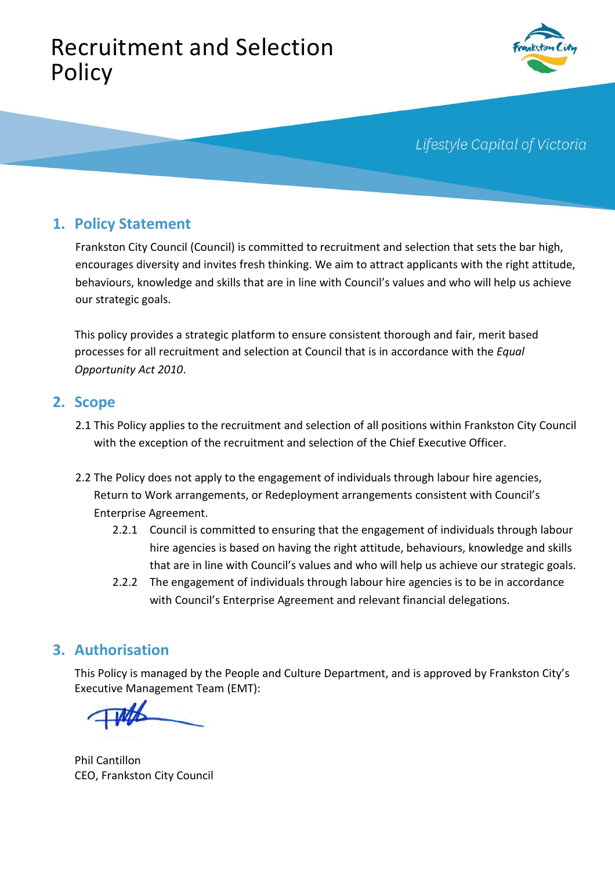# Recruitment and Selection Policy



Lifestyle Capital of Victoria

# **1. Policy Statement**

Frankston City Council (Council) is committed to recruitment and selection that sets the bar high, encourages diversity and invites fresh thinking. We aim to attract applicants with the right attitude, behaviours, knowledge and skills that are in line with Council's values and who will help us achieve our strategic goals.

This policy provides a strategic platform to ensure consistent thorough and fair, merit based processes for all recruitment and selection at Council that is in accordance with the *Equal Opportunity Act 2010*.

### **2. Scope**

- 2.1 This Policy applies to the recruitment and selection of all positions within Frankston City Council with the exception of the recruitment and selection of the Chief Executive Officer.
- 2.2 The Policy does not apply to the engagement of individuals through labour hire agencies, Return to Work arrangements, or Redeployment arrangements consistent with Council's Enterprise Agreement.
	- 2.2.1 Council is committed to ensuring that the engagement of individuals through labour hire agencies is based on having the right attitude, behaviours, knowledge and skills that are in line with Council's values and who will help us achieve our strategic goals.
	- 2.2.2 The engagement of individuals through labour hire agencies is to be in accordance with Council's Enterprise Agreement and relevant financial delegations.

### **3. Authorisation**

This Policy is managed by the People and Culture Department, and is approved by Frankston City's Executive Management Team (EMT):

Phil Cantillon CEO, Frankston City Council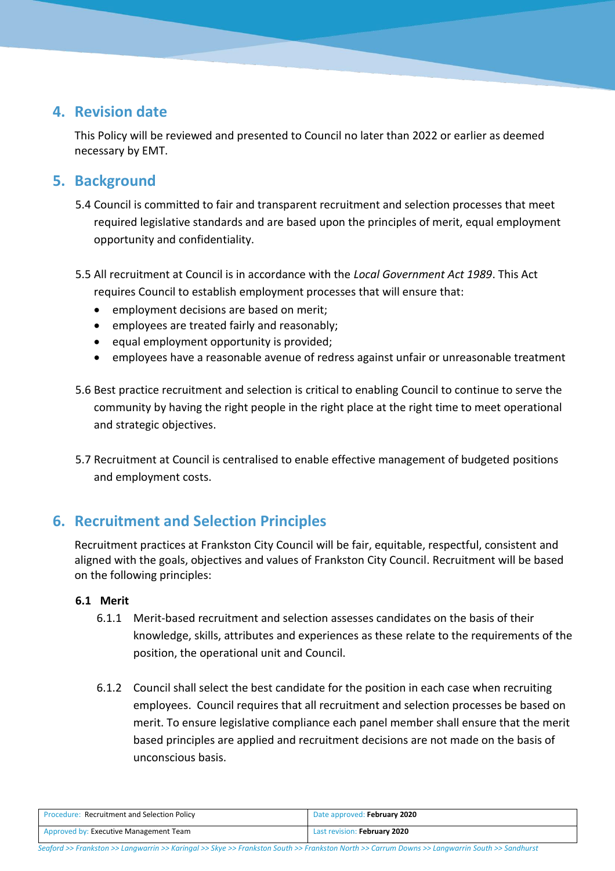# **4. Revision date**

This Policy will be reviewed and presented to Council no later than 2022 or earlier as deemed necessary by EMT.

# **5. Background**

- 5.4 Council is committed to fair and transparent recruitment and selection processes that meet required legislative standards and are based upon the principles of merit, equal employment opportunity and confidentiality.
- 5.5 All recruitment at Council is in accordance with the *Local Government Act 1989*. This Act requires Council to establish employment processes that will ensure that:
	- employment decisions are based on merit;
	- employees are treated fairly and reasonably;
	- $\bullet$  equal employment opportunity is provided;
	- employees have a reasonable avenue of redress against unfair or unreasonable treatment
- 5.6 Best practice recruitment and selection is critical to enabling Council to continue to serve the community by having the right people in the right place at the right time to meet operational and strategic objectives.
- 5.7 Recruitment at Council is centralised to enable effective management of budgeted positions and employment costs.

# **6. Recruitment and Selection Principles**

Recruitment practices at Frankston City Council will be fair, equitable, respectful, consistent and aligned with the goals, objectives and values of Frankston City Council. Recruitment will be based on the following principles:

#### **6.1 Merit**

- 6.1.1 Merit-based recruitment and selection assesses candidates on the basis of their knowledge, skills, attributes and experiences as these relate to the requirements of the position, the operational unit and Council.
- 6.1.2 Council shall select the best candidate for the position in each case when recruiting employees. Council requires that all recruitment and selection processes be based on merit. To ensure legislative compliance each panel member shall ensure that the merit based principles are applied and recruitment decisions are not made on the basis of unconscious basis.

| <b>Procedure: Recruitment and Selection Policy</b> | Date approved: February 2020 |
|----------------------------------------------------|------------------------------|
| Approved by: Executive Management Team             | Last revision: February 2020 |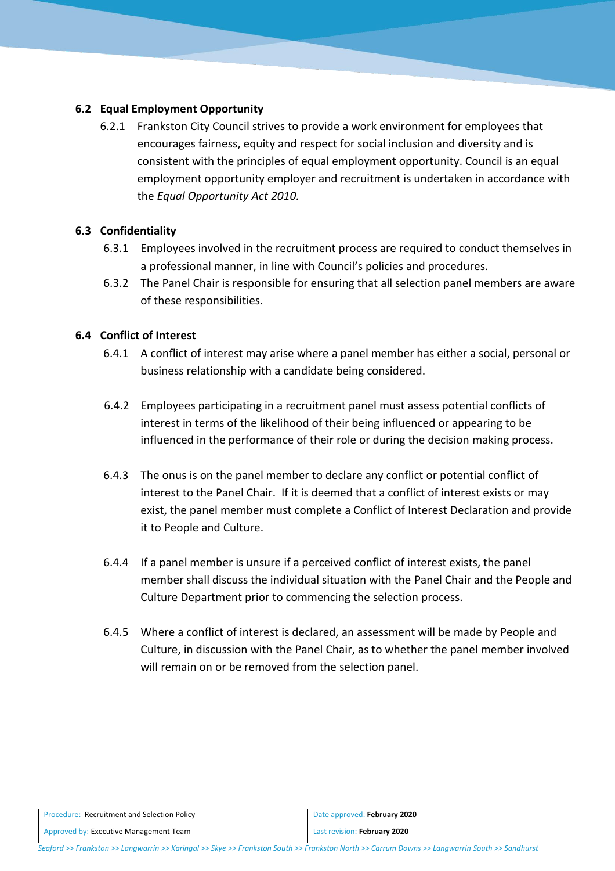#### **6.2 Equal Employment Opportunity**

6.2.1 Frankston City Council strives to provide a work environment for employees that encourages fairness, equity and respect for social inclusion and diversity and is consistent with the principles of equal employment opportunity. Council is an equal employment opportunity employer and recruitment is undertaken in accordance with the *Equal Opportunity Act 2010.*

#### **6.3 Confidentiality**

- 6.3.1 Employees involved in the recruitment process are required to conduct themselves in a professional manner, in line with Council's policies and procedures.
- 6.3.2 The Panel Chair is responsible for ensuring that all selection panel members are aware of these responsibilities.

#### **6.4 Conflict of Interest**

- 6.4.1 A conflict of interest may arise where a panel member has either a social, personal or business relationship with a candidate being considered.
- 6.4.2 Employees participating in a recruitment panel must assess potential conflicts of interest in terms of the likelihood of their being influenced or appearing to be influenced in the performance of their role or during the decision making process.
- 6.4.3 The onus is on the panel member to declare any conflict or potential conflict of interest to the Panel Chair. If it is deemed that a conflict of interest exists or may exist, the panel member must complete a Conflict of Interest Declaration and provide it to People and Culture.
- 6.4.4 If a panel member is unsure if a perceived conflict of interest exists, the panel member shall discuss the individual situation with the Panel Chair and the People and Culture Department prior to commencing the selection process.
- 6.4.5 Where a conflict of interest is declared, an assessment will be made by People and Culture, in discussion with the Panel Chair, as to whether the panel member involved will remain on or be removed from the selection panel.

| <b>Procedure: Recruitment and Selection Policy</b> | Date approved: February 2020 |
|----------------------------------------------------|------------------------------|
| Approved by: Executive Management Team             | Last revision: February 2020 |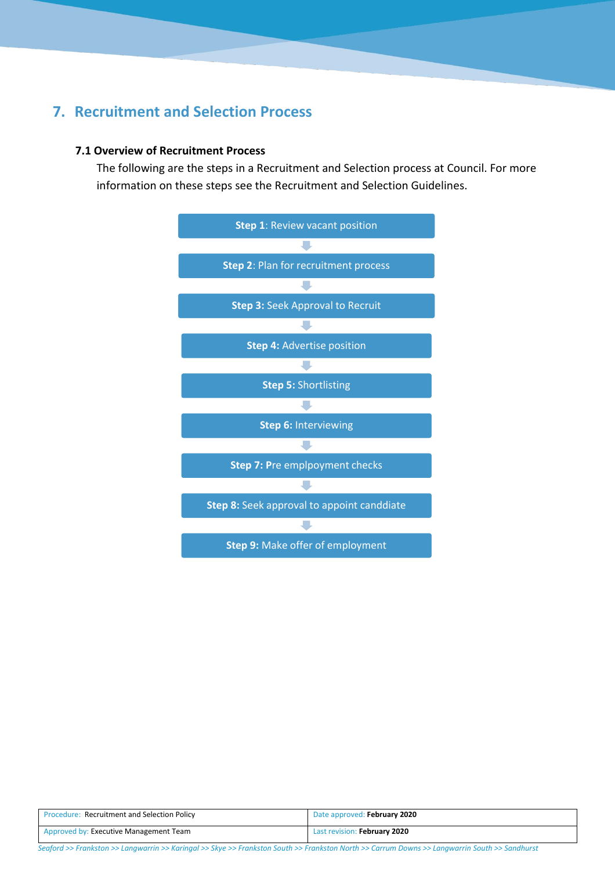# **7. Recruitment and Selection Process**

#### **7.1 Overview of Recruitment Process**

The following are the steps in a Recruitment and Selection process at Council. For more information on these steps see the Recruitment and Selection Guidelines.



| <b>Procedure: Recruitment and Selection Policy</b> | Date approved: February 2020 |
|----------------------------------------------------|------------------------------|
| Approved by: Executive Management Team             | Last revision: February 2020 |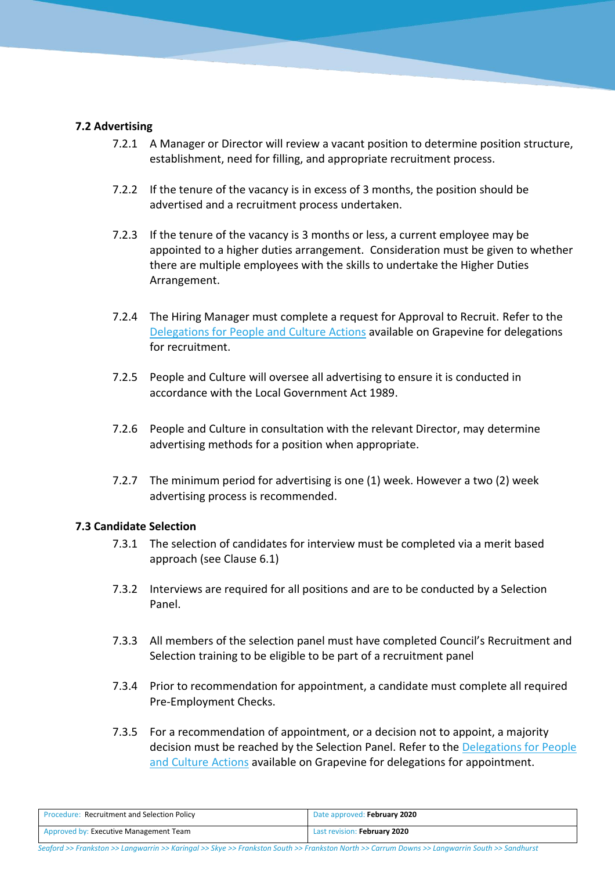#### **7.2 Advertising**

- 7.2.1 A Manager or Director will review a vacant position to determine position structure, establishment, need for filling, and appropriate recruitment process.
- 7.2.2 If the tenure of the vacancy is in excess of 3 months, the position should be advertised and a recruitment process undertaken.
- 7.2.3 If the tenure of the vacancy is 3 months or less, a current employee may be appointed to a higher duties arrangement. Consideration must be given to whether there are multiple employees with the skills to undertake the Higher Duties Arrangement.
- 7.2.4 The Hiring Manager must complete a request for Approval to Recruit. Refer to the [Delegations for People and Culture](http://grapevine.frankston.vic.gov.au/files/assets/intranet/policies_and_guidelines/hr_and_payroll/delegations_for_human_resources_actions.pdf) Actions available on Grapevine for delegations for recruitment.
- 7.2.5 People and Culture will oversee all advertising to ensure it is conducted in accordance with the Local Government Act 1989.
- 7.2.6 People and Culture in consultation with the relevant Director, may determine advertising methods for a position when appropriate.
- 7.2.7 The minimum period for advertising is one (1) week. However a two (2) week advertising process is recommended.

#### **7.3 Candidate Selection**

- 7.3.1 The selection of candidates for interview must be completed via a merit based approach (see Clause 6.1)
- 7.3.2 Interviews are required for all positions and are to be conducted by a Selection Panel.
- 7.3.3 All members of the selection panel must have completed Council's Recruitment and Selection training to be eligible to be part of a recruitment panel
- 7.3.4 Prior to recommendation for appointment, a candidate must complete all required Pre-Employment Checks.
- 7.3.5 For a recommendation of appointment, or a decision not to appoint, a majority decision must be reached by the Selection Panel. Refer to the [Delegations for People](http://grapevine.frankston.vic.gov.au/files/assets/intranet/policies_and_guidelines/hr_and_payroll/delegations_for_human_resources_actions.pdf)  [and Culture](http://grapevine.frankston.vic.gov.au/files/assets/intranet/policies_and_guidelines/hr_and_payroll/delegations_for_human_resources_actions.pdf) Actions available on Grapevine for delegations for appointment.

| <b>Procedure: Recruitment and Selection Policy</b> | Date approved: February 2020 |
|----------------------------------------------------|------------------------------|
| Approved by: Executive Management Team             | Last revision: February 2020 |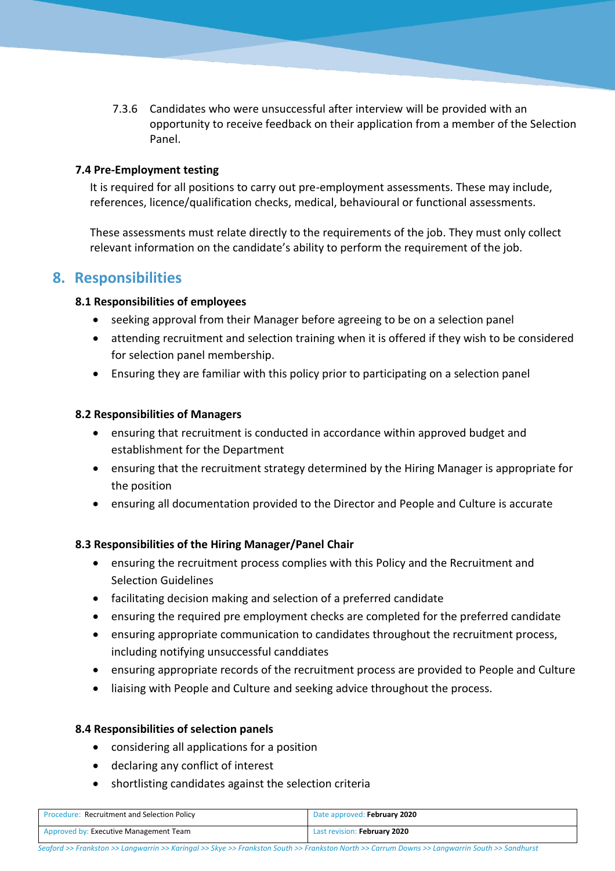7.3.6 Candidates who were unsuccessful after interview will be provided with an opportunity to receive feedback on their application from a member of the Selection Panel.

#### **7.4 Pre-Employment testing**

It is required for all positions to carry out pre-employment assessments. These may include, references, licence/qualification checks, medical, behavioural or functional assessments.

These assessments must relate directly to the requirements of the job. They must only collect relevant information on the candidate's ability to perform the requirement of the job.

### **8. Responsibilities**

#### **8.1 Responsibilities of employees**

- seeking approval from their Manager before agreeing to be on a selection panel
- attending recruitment and selection training when it is offered if they wish to be considered for selection panel membership.
- Ensuring they are familiar with this policy prior to participating on a selection panel

#### **8.2 Responsibilities of Managers**

- ensuring that recruitment is conducted in accordance within approved budget and establishment for the Department
- ensuring that the recruitment strategy determined by the Hiring Manager is appropriate for the position
- ensuring all documentation provided to the Director and People and Culture is accurate

#### **8.3 Responsibilities of the Hiring Manager/Panel Chair**

- ensuring the recruitment process complies with this Policy and the Recruitment and Selection Guidelines
- facilitating decision making and selection of a preferred candidate
- ensuring the required pre employment checks are completed for the preferred candidate
- ensuring appropriate communication to candidates throughout the recruitment process, including notifying unsuccessful canddiates
- ensuring appropriate records of the recruitment process are provided to People and Culture
- liaising with People and Culture and seeking advice throughout the process.

#### **8.4 Responsibilities of selection panels**

- considering all applications for a position
- declaring any conflict of interest
- shortlisting candidates against the selection criteria

| <b>Procedure: Recruitment and Selection Policy</b> | Date approved: February 2020 |
|----------------------------------------------------|------------------------------|
| Approved by: Executive Management Team             | Last revision: February 2020 |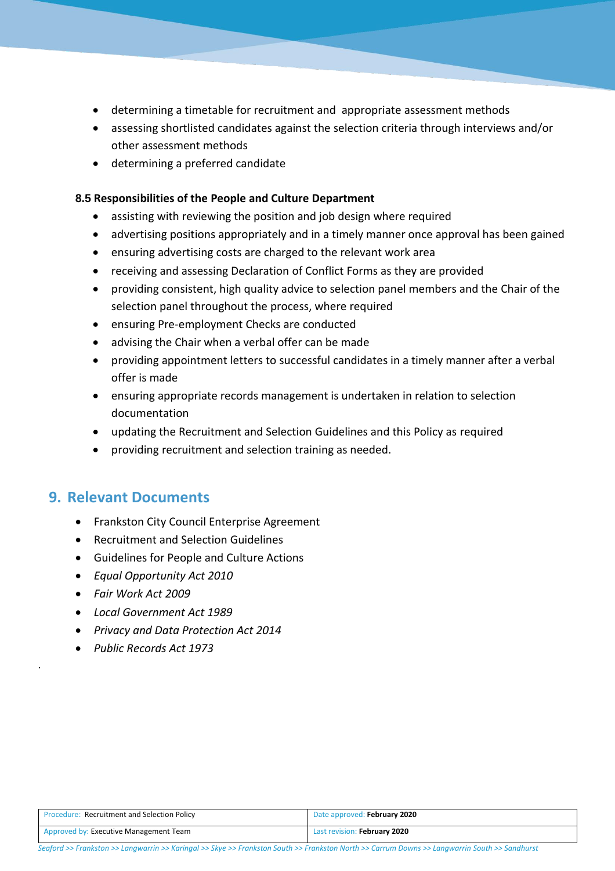- determining a timetable for recruitment and appropriate assessment methods
- assessing shortlisted candidates against the selection criteria through interviews and/or other assessment methods
- determining a preferred candidate

#### **8.5 Responsibilities of the People and Culture Department**

- assisting with reviewing the position and job design where required
- advertising positions appropriately and in a timely manner once approval has been gained
- ensuring advertising costs are charged to the relevant work area
- receiving and assessing Declaration of Conflict Forms as they are provided
- providing consistent, high quality advice to selection panel members and the Chair of the selection panel throughout the process, where required
- ensuring Pre-employment Checks are conducted
- advising the Chair when a verbal offer can be made
- providing appointment letters to successful candidates in a timely manner after a verbal offer is made
- ensuring appropriate records management is undertaken in relation to selection documentation
- updating the Recruitment and Selection Guidelines and this Policy as required
- providing recruitment and selection training as needed.

### **9. Relevant Documents**

- Frankston City Council Enterprise Agreement
- Recruitment and Selection Guidelines
- Guidelines for People and Culture Actions
- *Equal Opportunity Act 2010*
- *Fair Work Act 2009*

.

- *Local Government Act 1989*
- *Privacy and Data Protection Act 2014*
- *Public Records Act 1973*

| <b>Procedure: Recruitment and Selection Policy</b> | Date approved: February 2020 |
|----------------------------------------------------|------------------------------|
| Approved by: Executive Management Team             | Last revision: February 2020 |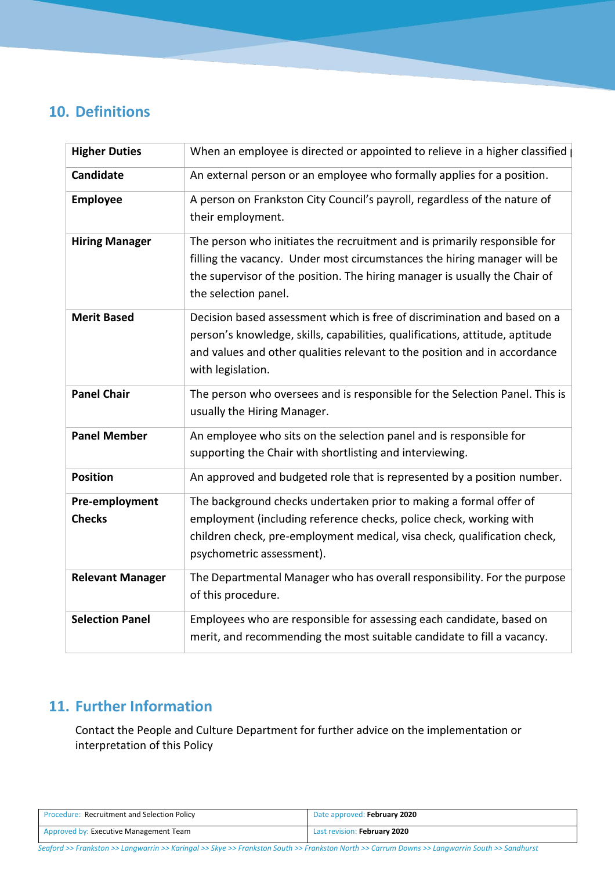# **10. Definitions**

| <b>Higher Duties</b>            | When an employee is directed or appointed to relieve in a higher classified                                                                                                                                                                                 |
|---------------------------------|-------------------------------------------------------------------------------------------------------------------------------------------------------------------------------------------------------------------------------------------------------------|
| Candidate                       | An external person or an employee who formally applies for a position.                                                                                                                                                                                      |
| <b>Employee</b>                 | A person on Frankston City Council's payroll, regardless of the nature of<br>their employment.                                                                                                                                                              |
| <b>Hiring Manager</b>           | The person who initiates the recruitment and is primarily responsible for<br>filling the vacancy. Under most circumstances the hiring manager will be<br>the supervisor of the position. The hiring manager is usually the Chair of<br>the selection panel. |
| <b>Merit Based</b>              | Decision based assessment which is free of discrimination and based on a<br>person's knowledge, skills, capabilities, qualifications, attitude, aptitude<br>and values and other qualities relevant to the position and in accordance<br>with legislation.  |
| <b>Panel Chair</b>              | The person who oversees and is responsible for the Selection Panel. This is<br>usually the Hiring Manager.                                                                                                                                                  |
| <b>Panel Member</b>             | An employee who sits on the selection panel and is responsible for<br>supporting the Chair with shortlisting and interviewing.                                                                                                                              |
| <b>Position</b>                 | An approved and budgeted role that is represented by a position number.                                                                                                                                                                                     |
| Pre-employment<br><b>Checks</b> | The background checks undertaken prior to making a formal offer of<br>employment (including reference checks, police check, working with<br>children check, pre-employment medical, visa check, qualification check,<br>psychometric assessment).           |
| <b>Relevant Manager</b>         | The Departmental Manager who has overall responsibility. For the purpose<br>of this procedure.                                                                                                                                                              |
| <b>Selection Panel</b>          | Employees who are responsible for assessing each candidate, based on<br>merit, and recommending the most suitable candidate to fill a vacancy.                                                                                                              |

# **11. Further Information**

Contact the People and Culture Department for further advice on the implementation or interpretation of this Policy

| <b>Procedure: Recruitment and Selection Policy</b> | Date approved: February 2020 |
|----------------------------------------------------|------------------------------|
| Approved by: Executive Management Team             | Last revision: February 2020 |